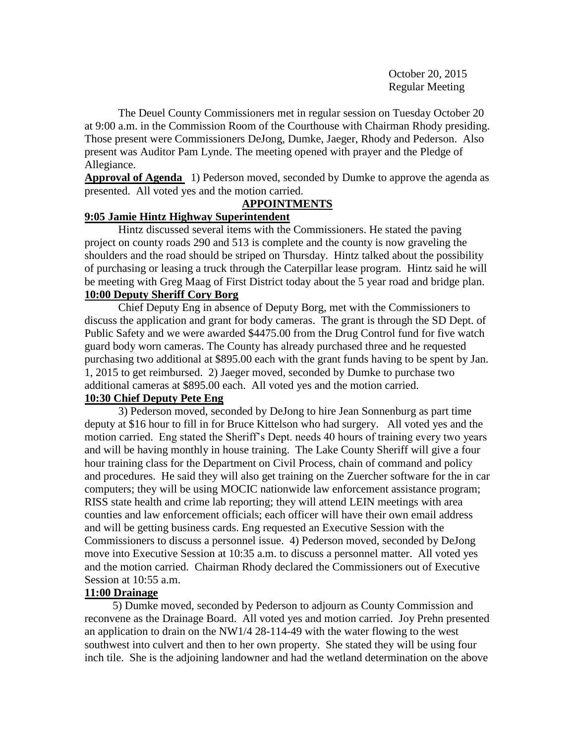October 20, 2015 Regular Meeting

The Deuel County Commissioners met in regular session on Tuesday October 20 at 9:00 a.m. in the Commission Room of the Courthouse with Chairman Rhody presiding. Those present were Commissioners DeJong, Dumke, Jaeger, Rhody and Pederson. Also present was Auditor Pam Lynde. The meeting opened with prayer and the Pledge of Allegiance.

**Approval of Agenda** 1) Pederson moved, seconded by Dumke to approve the agenda as presented. All voted yes and the motion carried.

# **APPOINTMENTS**

# **9:05 Jamie Hintz Highway Superintendent**

Hintz discussed several items with the Commissioners. He stated the paving project on county roads 290 and 513 is complete and the county is now graveling the shoulders and the road should be striped on Thursday. Hintz talked about the possibility of purchasing or leasing a truck through the Caterpillar lease program. Hintz said he will be meeting with Greg Maag of First District today about the 5 year road and bridge plan. **10:00 Deputy Sheriff Cory Borg**

Chief Deputy Eng in absence of Deputy Borg, met with the Commissioners to discuss the application and grant for body cameras. The grant is through the SD Dept. of Public Safety and we were awarded \$4475.00 from the Drug Control fund for five watch guard body worn cameras. The County has already purchased three and he requested purchasing two additional at \$895.00 each with the grant funds having to be spent by Jan. 1, 2015 to get reimbursed. 2) Jaeger moved, seconded by Dumke to purchase two additional cameras at \$895.00 each. All voted yes and the motion carried.

# **10:30 Chief Deputy Pete Eng**

3) Pederson moved, seconded by DeJong to hire Jean Sonnenburg as part time deputy at \$16 hour to fill in for Bruce Kittelson who had surgery. All voted yes and the motion carried. Eng stated the Sheriff's Dept. needs 40 hours of training every two years and will be having monthly in house training. The Lake County Sheriff will give a four hour training class for the Department on Civil Process, chain of command and policy and procedures. He said they will also get training on the Zuercher software for the in car computers; they will be using MOCIC nationwide law enforcement assistance program; RISS state health and crime lab reporting; they will attend LEIN meetings with area counties and law enforcement officials; each officer will have their own email address and will be getting business cards. Eng requested an Executive Session with the Commissioners to discuss a personnel issue. 4) Pederson moved, seconded by DeJong move into Executive Session at 10:35 a.m. to discuss a personnel matter. All voted yes and the motion carried. Chairman Rhody declared the Commissioners out of Executive Session at 10:55 a.m.

# **11:00 Drainage**

 5) Dumke moved, seconded by Pederson to adjourn as County Commission and reconvene as the Drainage Board. All voted yes and motion carried. Joy Prehn presented an application to drain on the NW1/4 28-114-49 with the water flowing to the west southwest into culvert and then to her own property. She stated they will be using four inch tile. She is the adjoining landowner and had the wetland determination on the above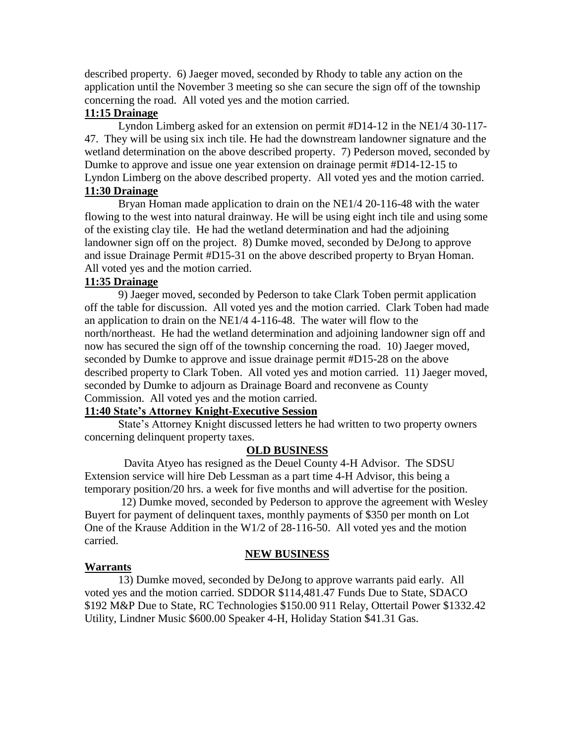described property. 6) Jaeger moved, seconded by Rhody to table any action on the application until the November 3 meeting so she can secure the sign off of the township concerning the road. All voted yes and the motion carried.

# **11:15 Drainage**

Lyndon Limberg asked for an extension on permit #D14-12 in the NE1/4 30-117- 47. They will be using six inch tile. He had the downstream landowner signature and the wetland determination on the above described property. 7) Pederson moved, seconded by Dumke to approve and issue one year extension on drainage permit #D14-12-15 to Lyndon Limberg on the above described property. All voted yes and the motion carried. **11:30 Drainage**

Bryan Homan made application to drain on the NE1/4 20-116-48 with the water flowing to the west into natural drainway. He will be using eight inch tile and using some of the existing clay tile. He had the wetland determination and had the adjoining landowner sign off on the project. 8) Dumke moved, seconded by DeJong to approve and issue Drainage Permit #D15-31 on the above described property to Bryan Homan. All voted yes and the motion carried.

### **11:35 Drainage**

9) Jaeger moved, seconded by Pederson to take Clark Toben permit application off the table for discussion. All voted yes and the motion carried. Clark Toben had made an application to drain on the NE1/4 4-116-48. The water will flow to the north/northeast. He had the wetland determination and adjoining landowner sign off and now has secured the sign off of the township concerning the road. 10) Jaeger moved, seconded by Dumke to approve and issue drainage permit #D15-28 on the above described property to Clark Toben. All voted yes and motion carried. 11) Jaeger moved, seconded by Dumke to adjourn as Drainage Board and reconvene as County Commission. All voted yes and the motion carried.

#### **11:40 State's Attorney Knight-Executive Session**

State's Attorney Knight discussed letters he had written to two property owners concerning delinquent property taxes.

#### **OLD BUSINESS**

 Davita Atyeo has resigned as the Deuel County 4-H Advisor. The SDSU Extension service will hire Deb Lessman as a part time 4-H Advisor, this being a temporary position/20 hrs. a week for five months and will advertise for the position.

12) Dumke moved, seconded by Pederson to approve the agreement with Wesley Buyert for payment of delinquent taxes, monthly payments of \$350 per month on Lot One of the Krause Addition in the W1/2 of 28-116-50. All voted yes and the motion carried.

### **NEW BUSINESS**

#### **Warrants**

13) Dumke moved, seconded by DeJong to approve warrants paid early. All voted yes and the motion carried. SDDOR \$114,481.47 Funds Due to State, SDACO \$192 M&P Due to State, RC Technologies \$150.00 911 Relay, Ottertail Power \$1332.42 Utility, Lindner Music \$600.00 Speaker 4-H, Holiday Station \$41.31 Gas.